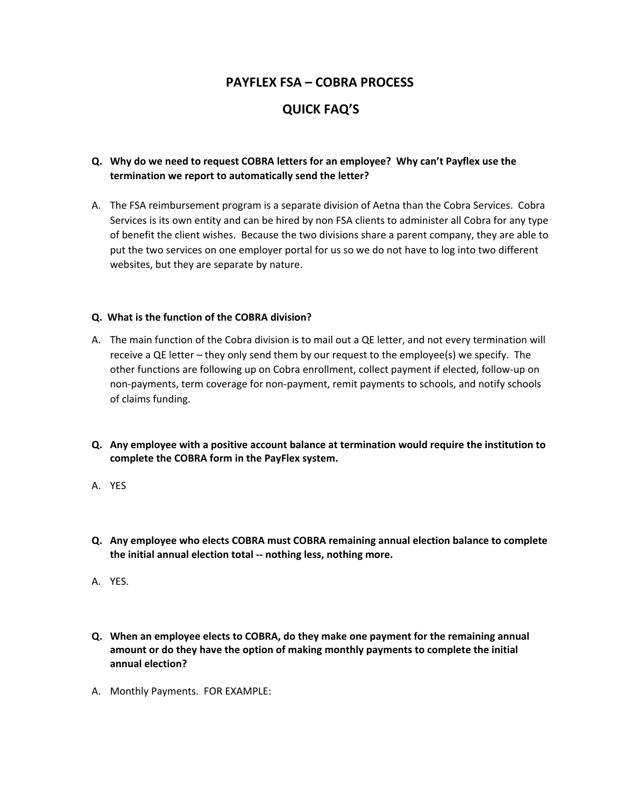## **PAYFLEX FSA – COBRA PROCESS**

# **QUICK FAQ'S**

## **Q. Why do we need to request COBRA letters for an employee? Why can't Payflex use the termination we report to automatically send the letter?**

A. The FSA reimbursement program is a separate division of Aetna than the Cobra Services. Cobra Services is its own entity and can be hired by non FSA clients to administer all Cobra for any type of benefit the client wishes. Because the two divisions share a parent company, they are able to put the two services on one employer portal for us so we do not have to log into two different websites, but they are separate by nature.

### **Q. What is the function of the COBRA division?**

- A. The main function of the Cobra division is to mail out a QE letter, and not every termination will receive a QE letter – they only send them by our request to the employee(s) we specify. The other functions are following up on Cobra enrollment, collect payment if elected, follow‐up on non‐payments, term coverage for non‐payment, remit payments to schools, and notify schools of claims funding.
- **Q. Any employee with a positive account balance at termination would require the institution to complete the COBRA form in the PayFlex system.**
- A. YES
- **Q. Any employee who elects COBRA must COBRA remaining annual election balance to complete the initial annual election total ‐‐ nothing less, nothing more.**
- A. YES.
- **Q. When an employee elects to COBRA, do they make one payment for the remaining annual amount or do they have the option of making monthly payments to complete the initial annual election?**
- A. Monthly Payments. FOR EXAMPLE: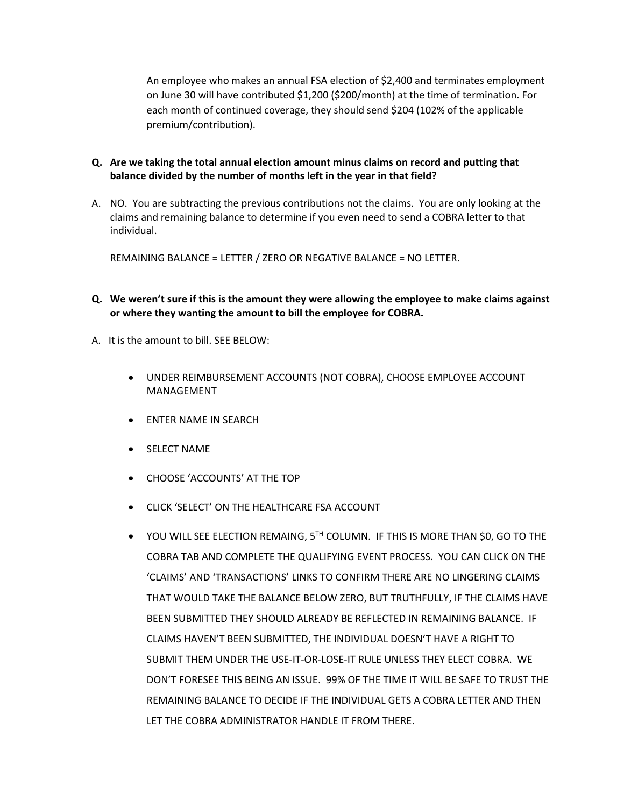An employee who makes an annual FSA election of \$2,400 and terminates employment on June 30 will have contributed \$1,200 (\$200/month) at the time of termination. For each month of continued coverage, they should send \$204 (102% of the applicable premium/contribution).

- **Q. Are we taking the total annual election amount minus claims on record and putting that balance divided by the number of months left in the year in that field?**
- A. NO. You are subtracting the previous contributions not the claims. You are only looking at the claims and remaining balance to determine if you even need to send a COBRA letter to that individual.

REMAINING BALANCE = LETTER / ZERO OR NEGATIVE BALANCE = NO LETTER.

- Q. We weren't sure if this is the amount they were allowing the employee to make claims against **or where they wanting the amount to bill the employee for COBRA.**
- A. It is the amount to bill. SEE BELOW:
	- UNDER REIMBURSEMENT ACCOUNTS (NOT COBRA), CHOOSE EMPLOYEE ACCOUNT MANAGEMENT
	- ENTER NAME IN SEARCH
	- **•** SELECT NAME
	- CHOOSE 'ACCOUNTS' AT THE TOP
	- CLICK 'SELECT' ON THE HEALTHCARE FSA ACCOUNT
	- YOU WILL SEE ELECTION REMAING, 5TH COLUMN. IF THIS IS MORE THAN \$0, GO TO THE COBRA TAB AND COMPLETE THE QUALIFYING EVENT PROCESS. YOU CAN CLICK ON THE 'CLAIMS' AND 'TRANSACTIONS' LINKS TO CONFIRM THERE ARE NO LINGERING CLAIMS THAT WOULD TAKE THE BALANCE BELOW ZERO, BUT TRUTHFULLY, IF THE CLAIMS HAVE BEEN SUBMITTED THEY SHOULD ALREADY BE REFLECTED IN REMAINING BALANCE. IF CLAIMS HAVEN'T BEEN SUBMITTED, THE INDIVIDUAL DOESN'T HAVE A RIGHT TO SUBMIT THEM UNDER THE USE‐IT‐OR‐LOSE‐IT RULE UNLESS THEY ELECT COBRA. WE DON'T FORESEE THIS BEING AN ISSUE. 99% OF THE TIME IT WILL BE SAFE TO TRUST THE REMAINING BALANCE TO DECIDE IF THE INDIVIDUAL GETS A COBRA LETTER AND THEN LET THE COBRA ADMINISTRATOR HANDLE IT FROM THERE.